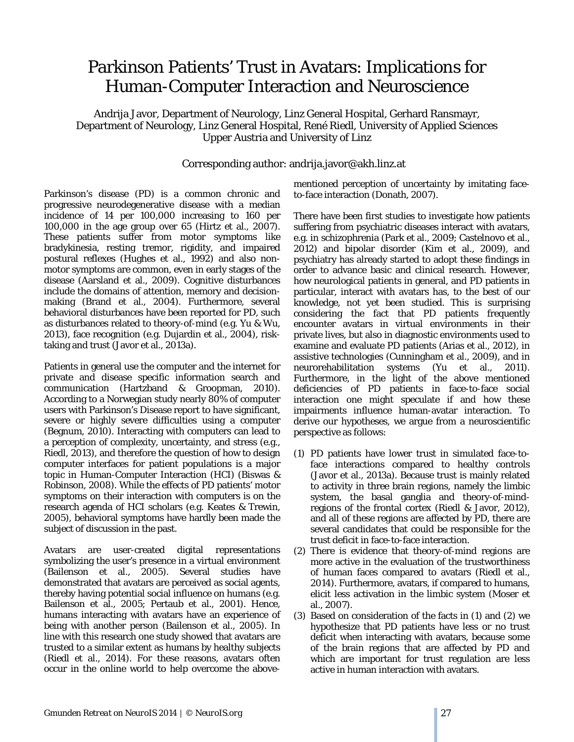## Parkinson Patients' Trust in Avatars: Implications for Human-Computer Interaction and Neuroscience

Andrija Javor, Department of Neurology, Linz General Hospital, Gerhard Ransmayr, Department of Neurology, Linz General Hospital, René Riedl, University of Applied Sciences Upper Austria and University of Linz

## Corresponding author: andrija.javor@akh.linz.at

Parkinson's disease (PD) is a common chronic and progressive neurodegenerative disease with a median incidence of 14 per 100,000 increasing to 160 per 100,000 in the age group over 65 (Hirtz et al., 2007). These patients suffer from motor symptoms like bradykinesia, resting tremor, rigidity, and impaired postural reflexes (Hughes et al., 1992) and also nonmotor symptoms are common, even in early stages of the disease (Aarsland et al., 2009). Cognitive disturbances include the domains of attention, memory and decisionmaking (Brand et al., 2004). Furthermore, several behavioral disturbances have been reported for PD, such as disturbances related to theory-of-mind (e.g. Yu & Wu, 2013), face recognition (e.g. Dujardin et al., 2004), risktaking and trust (Javor et al., 2013a).

Patients in general use the computer and the internet for private and disease specific information search and communication (Hartzband & Groopman, 2010). According to a Norwegian study nearly 80% of computer users with Parkinson's Disease report to have significant, severe or highly severe difficulties using a computer (Begnum, 2010). Interacting with computers can lead to a perception of complexity, uncertainty, and stress (e.g., Riedl, 2013), and therefore the question of how to design computer interfaces for patient populations is a major topic in Human-Computer Interaction (HCI) (Biswas & Robinson, 2008). While the effects of PD patients' motor symptoms on their interaction with computers is on the research agenda of HCI scholars (e.g. Keates & Trewin, 2005), behavioral symptoms have hardly been made the subject of discussion in the past.

Avatars are user-created digital representations symbolizing the user's presence in a virtual environment (Bailenson et al., 2005). Several studies have demonstrated that avatars are perceived as social agents, thereby having potential social influence on humans (e.g. Bailenson et al., 2005; Pertaub et al., 2001). Hence, humans interacting with avatars have an experience of being with another person (Bailenson et al., 2005). In line with this research one study showed that avatars are trusted to a similar extent as humans by healthy subjects (Riedl et al., 2014). For these reasons, avatars often occur in the online world to help overcome the abovementioned perception of uncertainty by imitating faceto-face interaction (Donath, 2007).

There have been first studies to investigate how patients suffering from psychiatric diseases interact with avatars, e.g. in schizophrenia (Park et al., 2009; Castelnovo et al., 2012) and bipolar disorder (Kim et al., 2009), and psychiatry has already started to adopt these findings in order to advance basic and clinical research. However, how neurological patients in general, and PD patients in particular, interact with avatars has, to the best of our knowledge, not yet been studied. This is surprising considering the fact that PD patients frequently encounter avatars in virtual environments in their private lives, but also in diagnostic environments used to examine and evaluate PD patients (Arias et al., 2012), in assistive technologies (Cunningham et al., 2009), and in neurorehabilitation systems (Yu et al., 2011). Furthermore, in the light of the above mentioned deficiencies of PD patients in face-to-face social interaction one might speculate if and how these impairments influence human-avatar interaction. To derive our hypotheses, we argue from a neuroscientific perspective as follows:

- (1) PD patients have lower trust in simulated face-toface interactions compared to healthy controls (Javor et al., 2013a). Because trust is mainly related to activity in three brain regions, namely the limbic system, the basal ganglia and theory-of-mindregions of the frontal cortex (Riedl & Javor, 2012), and all of these regions are affected by PD, there are several candidates that could be responsible for the trust deficit in face-to-face interaction.
- (2) There is evidence that theory-of-mind regions are more active in the evaluation of the trustworthiness of human faces compared to avatars (Riedl et al., 2014). Furthermore, avatars, if compared to humans, elicit less activation in the limbic system (Moser et al., 2007).
- (3) Based on consideration of the facts in (1) and (2) we hypothesize that PD patients have less or no trust deficit when interacting with avatars, because some of the brain regions that are affected by PD and which are important for trust regulation are less active in human interaction with avatars.